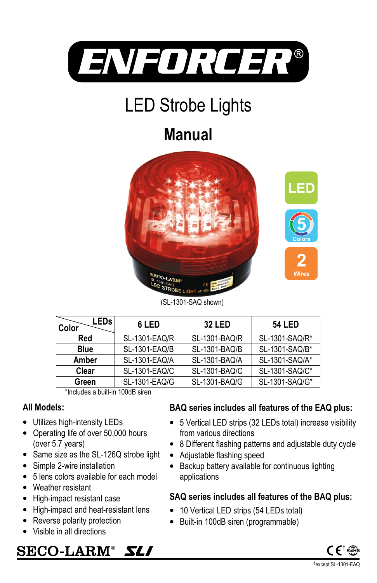

# LED Strobe Lights

## **Manual**





| SL-1301-SAQ/R* |
|----------------|
|                |
| SL-1301-SAQ/B* |
| SL-1301-SAQ/A* |
| SL-1301-SAQ/C* |
| SL-1301-SAQ/G* |
|                |

\*Includes a built-in 100dB siren

#### **All Models:**

- Utilizes high-intensity LEDs
- Operating life of over 50,000 hours (over 5.7 years)
- Same size as the SL-126Q strobe light
- Simple 2-wire installation
- 5 lens colors available for each model
- Weather resistant
- High-impact resistant case
- High-impact and heat-resistant lens
- Reverse polarity protection
- Visible in all directions

## **BAQ series includes all features of the EAQ plus:**

- 5 Vertical LED strips (32 LEDs total) increase visibility from various directions
- 8 Different flashing patterns and adjustable duty cycle
- Adjustable flashing speed
- Backup battery available for continuous lighting applications

#### **SAQ series includes all features of the BAQ plus:**

- 10 Vertical LED strips (54 LEDs total)
- Built-in 100dB siren (programmable)



SECO-LARM® **SL/**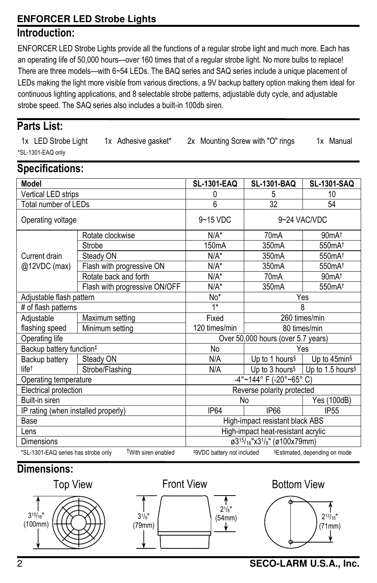#### **ENFORCER LED Strobe Lights**

#### **Introduction:**

ENFORCER LED Strobe Lights provide all the functions of a regular strobe light and much more. Each has an operating life of 50,000 hours—over 160 times that of a regular strobe light. No more bulbs to replace! There are three models—with 6~54 LEDs. The BAQ series and SAQ series include a unique placement of LEDs making the light more visible from various directions, a 9V backup battery option making them ideal for continuous lighting applications, and 8 selectable strobe patterns, adjustable duty cycle, and adjustable strobe speed. The SAQ series also includes a built-in 100db siren.

#### **Parts List:**

1x LED Strobe Light 1x Adhesive gasket\* 2x Mounting Screw with "O" rings 1x Manual \*SL-1301-EAQ only

#### **Specifications:**

| <b>Model</b>                                                                                                              |                               | <b>SL-1301-EAQ</b>                                                             | <b>SL-1301-BAQ</b>         | <b>SL-1301-SAQ</b>                                      |  |
|---------------------------------------------------------------------------------------------------------------------------|-------------------------------|--------------------------------------------------------------------------------|----------------------------|---------------------------------------------------------|--|
| Vertical LED strips                                                                                                       |                               | 0                                                                              | 5                          | 10                                                      |  |
| Total number of LEDs                                                                                                      |                               | 6                                                                              | $\overline{32}$            | 54                                                      |  |
| Operating voltage                                                                                                         |                               | $9 - 15$ VDC                                                                   | 9~24 VAC/VDC               |                                                         |  |
|                                                                                                                           | Rotate clockwise              | $N/A^*$                                                                        | 70 <sub>m</sub> A          | 90mA <sup>†</sup>                                       |  |
| Current drain<br>@12VDC (max)                                                                                             | Strobe                        | 150 <sub>m</sub> A                                                             | 350 <sub>m</sub> A         | 550mA <sup>t</sup>                                      |  |
|                                                                                                                           | Steady ON                     | $N/A^*$                                                                        | 350 <sub>m</sub> A         | 550mA <sup>t</sup>                                      |  |
|                                                                                                                           | Flash with progressive ON     | $N/A^*$                                                                        | 350 <sub>m</sub> A         | 550mA <sup>†</sup>                                      |  |
|                                                                                                                           | Rotate back and forth         | $N/A^*$                                                                        | 70 <sub>m</sub> A          | 90mA <sup>†</sup>                                       |  |
|                                                                                                                           | Flash with progressive ON/OFF | $N/A^*$                                                                        | 350 <sub>m</sub> A         | 550mA <sup>t</sup>                                      |  |
| Adjustable flash pattern                                                                                                  |                               | No*                                                                            | Yes                        |                                                         |  |
| # of flash patterns                                                                                                       |                               | $1*$                                                                           | 8                          |                                                         |  |
| Adjustable                                                                                                                | Maximum setting               | Fixed                                                                          | 260 times/min              |                                                         |  |
| flashing speed                                                                                                            | Minimum setting               | 120 times/min                                                                  | 80 times/min               |                                                         |  |
| Operating life                                                                                                            |                               | Over 50,000 hours (over 5.7 years)                                             |                            |                                                         |  |
| Backup battery function <sup>#</sup>                                                                                      |                               | <b>No</b>                                                                      | Yes                        |                                                         |  |
| Backup battery                                                                                                            | Steady ON                     | N/A                                                                            | Up to 1 hours <sup>§</sup> | Up to 45min <sup>§</sup>                                |  |
| $life^{\dagger}$                                                                                                          | Strobe/Flashing               | N/A                                                                            |                            | Up to 3 hours <sup>§</sup> Up to 1.5 hours <sup>§</sup> |  |
| Operating temperature                                                                                                     |                               | -4°~144° F (-20°~65° C)                                                        |                            |                                                         |  |
| Electrical protection                                                                                                     |                               | Reverse polarity protected                                                     |                            |                                                         |  |
| Built-in siren                                                                                                            |                               | No                                                                             |                            | Yes (100dB)                                             |  |
| IP rating (when installed properly)                                                                                       |                               | <b>IP64</b>                                                                    | <b>IP66</b>                | IP <sub>55</sub>                                        |  |
| Base                                                                                                                      |                               | High-impact resistant black ABS                                                |                            |                                                         |  |
| Lens                                                                                                                      |                               | High-impact heat-resistant acrylic                                             |                            |                                                         |  |
| Dimensions                                                                                                                |                               | ø3 <sup>15</sup> / <sub>16</sub> "x3 <sup>1</sup> / <sub>8</sub> " (ø100x79mm) |                            |                                                         |  |
| TWith siren enabled<br>*SL-1301-EAQ series has strobe only<br>#9VDC battery not included<br>§Estimated, depending on mode |                               |                                                                                |                            |                                                         |  |

## **Dimensions:**





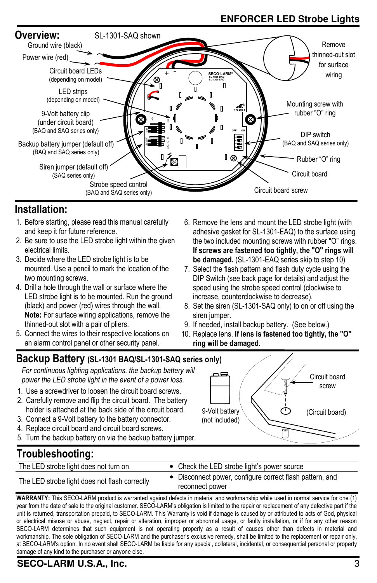## **ENFORCER LED Strobe Lights**



### **Installation:**

- 1. Before starting, please read this manual carefully and keep it for future reference.
- 2. Be sure to use the LED strobe light within the given electrical limits.
- 3. Decide where the LED strobe light is to be mounted. Use a pencil to mark the location of the two mounting screws.
- 4. Drill a hole through the wall or surface where the LED strobe light is to be mounted. Run the ground (black) and power (red) wires through the wall. **Note:** For surface wiring applications, remove the thinned-out slot with a pair of pliers.
- 5. Connect the wires to their respective locations on an alarm control panel or other security panel.
- 6. Remove the lens and mount the LED strobe light (with adhesive gasket for SL-1301-EAQ) to the surface using the two included mounting screws with rubber "O" rings. **If screws are fastened too tightly, the "O" rings will be damaged.** (SL-1301-EAQ series skip to step 10)
- 7. Select the flash pattern and flash duty cycle using the DIP Switch (see back page for details) and adjust the speed using the strobe speed control (clockwise to increase, counterclockwise to decrease).
- 8. Set the siren (SL-1301-SAQ only) to on or off using the siren jumper.
- 9. If needed, install backup battery. (See below.)
- 10. Replace lens. **If lens is fastened too tightly, the "O"** 
	- **ring will be damaged.**

#### **Backup Battery (SL-1301 BAQ/SL-1301-SAQ series only)**

*For continuous lighting applications, the backup battery will power the LED strobe light in the event of a power loss.* 

- 1. Use a screwdriver to loosen the circuit board screws.
- 2. Carefully remove and flip the circuit board. The battery holder is attached at the back side of the circuit board.
- 3. Connect a 9-Volt battery to the battery connector.
- 4. Replace circuit board and circuit board screws.
- 5. Turn the backup battery on via the backup battery jumper.

## 9-Volt battery (not included) Circuit board screw (Circuit board)

## **Troubleshooting:**

| The LED strobe light does not turn on         |  | • Check the LED strobe light's power source              |
|-----------------------------------------------|--|----------------------------------------------------------|
| The LED strobe light does not flash correctly |  | • Disconnect power, configure correct flash pattern, and |
|                                               |  | reconnect power                                          |

**WARRANTY:** This SECO-LARM product is warranted against defects in material and workmanship while used in normal service for one (1) year from the date of sale to the original customer. SECO-LARM's obligation is limited to the repair or replacement of any defective part if the unit is returned, transportation prepaid, to SECO-LARM. This Warranty is void if damage is caused by or attributed to acts of God, physical or electrical misuse or abuse, neglect, repair or alteration, improper or abnormal usage, or faulty installation, or if for any other reason SECO-LARM determines that such equipment is not operating properly as a result of causes other than defects in material and workmanship. The sole obligation of SECO-LARM and the purchaser's exclusive remedy, shall be limited to the replacement or repair only, at SECO-LARM's option. In no event shall SECO-LARM be liable for any special, collateral, incidental, or consequential personal or property damage of any kind to the purchaser or anyone else.

#### **SECO-LARM U.S.A., Inc.** 3